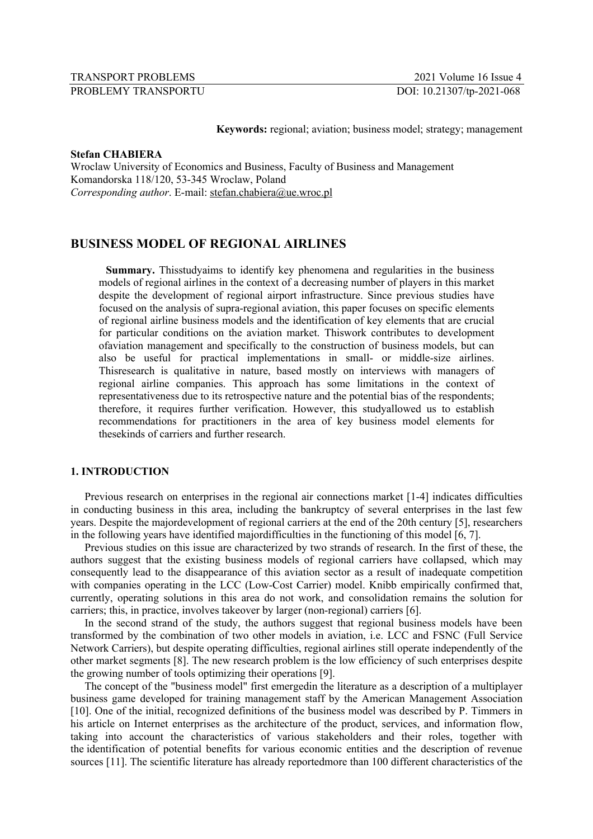**Keywords:** regional; aviation; business model; strategy; management

# **Stefan CHABIERA**

Wroclaw University of Economics and Business, Faculty of Business and Management Komandorska 118/120, 53-345 Wroclaw, Poland *Corresponding author*. E-mail: stefan.chabiera@ue.wroc.pl

# **BUSINESS MODEL OF REGIONAL AIRLINES**

**Summary.** Thisstudyaims to identify key phenomena and regularities in the business models of regional airlines in the context of a decreasing number of players in this market despite the development of regional airport infrastructure. Since previous studies have focused on the analysis of supra-regional aviation, this paper focuses on specific elements of regional airline business models and the identification of key elements that are crucial for particular conditions on the aviation market. Thiswork contributes to development ofaviation management and specifically to the construction of business models, but can also be useful for practical implementations in small- or middle-size airlines. Thisresearch is qualitative in nature, based mostly on interviews with managers of regional airline companies. This approach has some limitations in the context of representativeness due to its retrospective nature and the potential bias of the respondents; therefore, it requires further verification. However, this studyallowed us to establish recommendations for practitioners in the area of key business model elements for thesekinds of carriers and further research.

# **1. INTRODUCTION**

Previous research on enterprises in the regional air connections market [1-4] indicates difficulties in conducting business in this area, including the bankruptcy of several enterprises in the last few years. Despite the majordevelopment of regional carriers at the end of the 20th century [5], researchers in the following years have identified majordifficulties in the functioning of this model [6, 7].

Previous studies on this issue are characterized by two strands of research. In the first of these, the authors suggest that the existing business models of regional carriers have collapsed, which may consequently lead to the disappearance of this aviation sector as a result of inadequate competition with companies operating in the LCC (Low-Cost Carrier) model. Knibb empirically confirmed that, currently, operating solutions in this area do not work, and consolidation remains the solution for carriers; this, in practice, involves takeover by larger (non-regional) carriers [6].

In the second strand of the study, the authors suggest that regional business models have been transformed by the combination of two other models in aviation, i.e. LCC and FSNC (Full Service Network Carriers), but despite operating difficulties, regional airlines still operate independently of the other market segments [8]. The new research problem is the low efficiency of such enterprises despite the growing number of tools optimizing their operations [9].

The concept of the "business model" first emergedin the literature as a description of a multiplayer business game developed for training management staff by the American Management Association [10]. One of the initial, recognized definitions of the business model was described by P. Timmers in his article on Internet enterprises as the architecture of the product, services, and information flow, taking into account the characteristics of various stakeholders and their roles, together with the identification of potential benefits for various economic entities and the description of revenue sources [11]. The scientific literature has already reportedmore than 100 different characteristics of the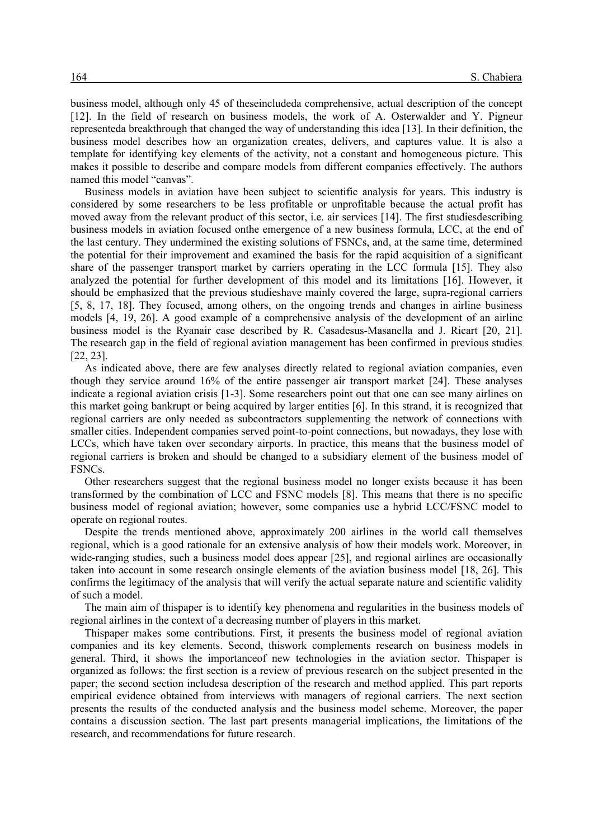business model, although only 45 of theseincludeda comprehensive, actual description of the concept [12]. In the field of research on business models, the work of A. Osterwalder and Y. Pigneur representeda breakthrough that changed the way of understanding this idea [13]. In their definition, the business model describes how an organization creates, delivers, and captures value. It is also a template for identifying key elements of the activity, not a constant and homogeneous picture. This makes it possible to describe and compare models from different companies effectively. The authors named this model "canvas".

Business models in aviation have been subject to scientific analysis for years. This industry is considered by some researchers to be less profitable or unprofitable because the actual profit has moved away from the relevant product of this sector, i.e. air services [14]. The first studiesdescribing business models in aviation focused onthe emergence of a new business formula, LCC, at the end of the last century. They undermined the existing solutions of FSNCs, and, at the same time, determined the potential for their improvement and examined the basis for the rapid acquisition of a significant share of the passenger transport market by carriers operating in the LCC formula [15]. They also analyzed the potential for further development of this model and its limitations [16]. However, it should be emphasized that the previous studieshave mainly covered the large, supra-regional carriers [5, 8, 17, 18]. They focused, among others, on the ongoing trends and changes in airline business models [4, 19, 26]. A good example of a comprehensive analysis of the development of an airline business model is the Ryanair case described by R. Casadesus-Masanella and J. Ricart [20, 21]. The research gap in the field of regional aviation management has been confirmed in previous studies [22, 23].

As indicated above, there are few analyses directly related to regional aviation companies, even though they service around 16% of the entire passenger air transport market [24]. These analyses indicate a regional aviation crisis [1-3]. Some researchers point out that one can see many airlines on this market going bankrupt or being acquired by larger entities [6]. In this strand, it is recognized that regional carriers are only needed as subcontractors supplementing the network of connections with smaller cities. Independent companies served point-to-point connections, but nowadays, they lose with LCCs, which have taken over secondary airports. In practice, this means that the business model of regional carriers is broken and should be changed to a subsidiary element of the business model of FSNCs.

Other researchers suggest that the regional business model no longer exists because it has been transformed by the combination of LCC and FSNC models [8]. This means that there is no specific business model of regional aviation; however, some companies use a hybrid LCC/FSNC model to operate on regional routes.

Despite the trends mentioned above, approximately 200 airlines in the world call themselves regional, which is a good rationale for an extensive analysis of how their models work. Moreover, in wide-ranging studies, such a business model does appear [25], and regional airlines are occasionally taken into account in some research onsingle elements of the aviation business model [18, 26]. This confirms the legitimacy of the analysis that will verify the actual separate nature and scientific validity of such a model.

The main aim of thispaper is to identify key phenomena and regularities in the business models of regional airlines in the context of a decreasing number of players in this market.

Thispaper makes some contributions. First, it presents the business model of regional aviation companies and its key elements. Second, thiswork complements research on business models in general. Third, it shows the importanceof new technologies in the aviation sector. Thispaper is organized as follows: the first section is a review of previous research on the subject presented in the paper; the second section includesa description of the research and method applied. This part reports empirical evidence obtained from interviews with managers of regional carriers. The next section presents the results of the conducted analysis and the business model scheme. Moreover, the paper contains a discussion section. The last part presents managerial implications, the limitations of the research, and recommendations for future research.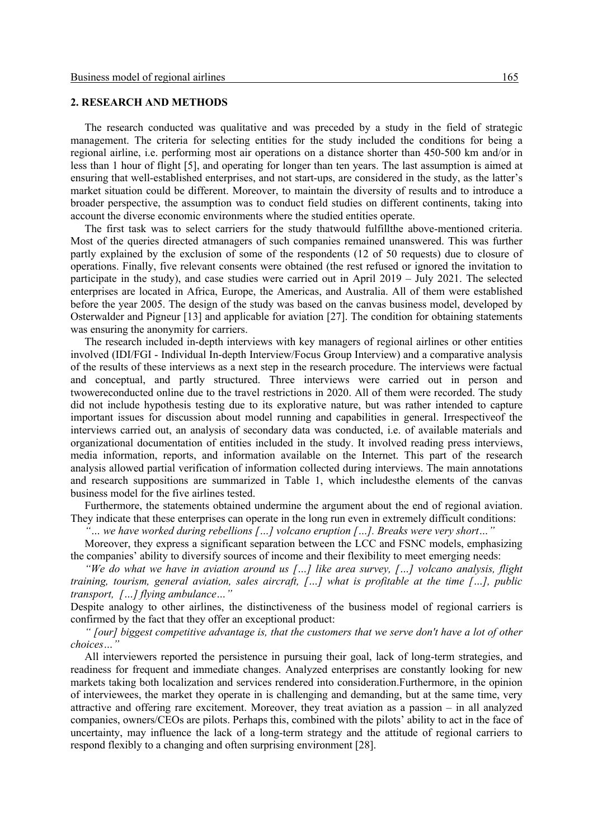# **2. RESEARCH AND METHODS**

The research conducted was qualitative and was preceded by a study in the field of strategic management. The criteria for selecting entities for the study included the conditions for being a regional airline, i.e. performing most air operations on a distance shorter than 450-500 km and/or in less than 1 hour of flight [5], and operating for longer than ten years. The last assumption is aimed at ensuring that well-established enterprises, and not start-ups, are considered in the study, as the latter's market situation could be different. Moreover, to maintain the diversity of results and to introduce a broader perspective, the assumption was to conduct field studies on different continents, taking into account the diverse economic environments where the studied entities operate.

The first task was to select carriers for the study thatwould fulfillthe above-mentioned criteria. Most of the queries directed atmanagers of such companies remained unanswered. This was further partly explained by the exclusion of some of the respondents (12 of 50 requests) due to closure of operations. Finally, five relevant consents were obtained (the rest refused or ignored the invitation to participate in the study), and case studies were carried out in April 2019 – July 2021. The selected enterprises are located in Africa, Europe, the Americas, and Australia. All of them were established before the year 2005. The design of the study was based on the canvas business model, developed by Osterwalder and Pigneur [13] and applicable for aviation [27]. The condition for obtaining statements was ensuring the anonymity for carriers.

The research included in-depth interviews with key managers of regional airlines or other entities involved (IDI/FGI - Individual In-depth Interview/Focus Group Interview) and a comparative analysis of the results of these interviews as a next step in the research procedure. The interviews were factual and conceptual, and partly structured. Three interviews were carried out in person and twowereconducted online due to the travel restrictions in 2020. All of them were recorded. The study did not include hypothesis testing due to its explorative nature, but was rather intended to capture important issues for discussion about model running and capabilities in general. Irrespectiveof the interviews carried out, an analysis of secondary data was conducted, i.e. of available materials and organizational documentation of entities included in the study. It involved reading press interviews, media information, reports, and information available on the Internet. This part of the research analysis allowed partial verification of information collected during interviews. The main annotations and research suppositions are summarized in Table 1, which includesthe elements of the canvas business model for the five airlines tested.

Furthermore, the statements obtained undermine the argument about the end of regional aviation. They indicate that these enterprises can operate in the long run even in extremely difficult conditions:

*"… we have worked during rebellions […] volcano eruption […]. Breaks were very short…"*

Moreover, they express a significant separation between the LCC and FSNC models, emphasizing the companies' ability to diversify sources of income and their flexibility to meet emerging needs:

*"We do what we have in aviation around us […] like area survey, […] volcano analysis, flight training, tourism, general aviation, sales aircraft, […] what is profitable at the time […], public transport, […] flying ambulance…"*

Despite analogy to other airlines, the distinctiveness of the business model of regional carriers is confirmed by the fact that they offer an exceptional product:

*" [our] biggest competitive advantage is, that the customers that we serve don't have a lot of other choices…"*

All interviewers reported the persistence in pursuing their goal, lack of long-term strategies, and readiness for frequent and immediate changes. Analyzed enterprises are constantly looking for new markets taking both localization and services rendered into consideration.Furthermore, in the opinion of interviewees, the market they operate in is challenging and demanding, but at the same time, very attractive and offering rare excitement. Moreover, they treat aviation as a passion – in all analyzed companies, owners/CEOs are pilots. Perhaps this, combined with the pilots' ability to act in the face of uncertainty, may influence the lack of a long-term strategy and the attitude of regional carriers to respond flexibly to a changing and often surprising environment [28].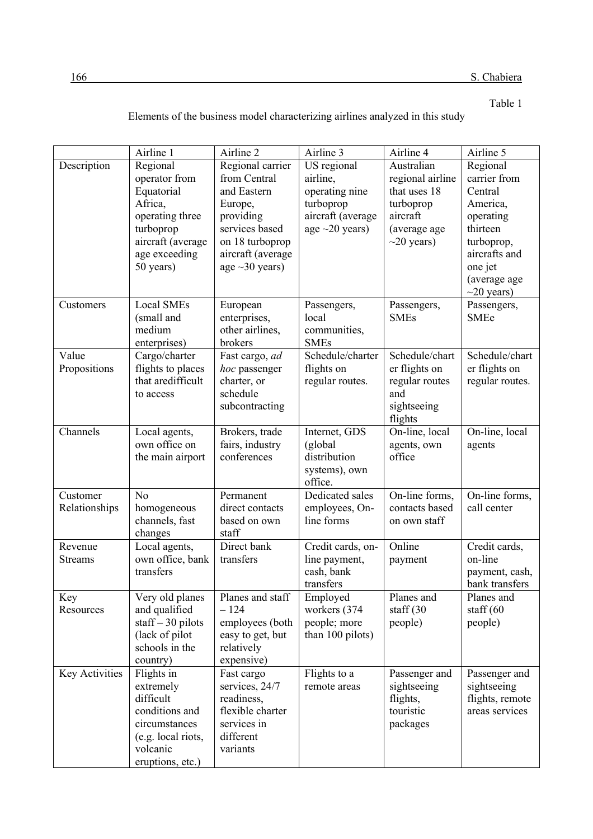Table 1

|                           | Airline 1                                                                                                                             | Airline 2                                                                                                                                                 | Airline 3                                                                                           | Airline 4                                                                                                   | Airline 5                                                                                                                                              |
|---------------------------|---------------------------------------------------------------------------------------------------------------------------------------|-----------------------------------------------------------------------------------------------------------------------------------------------------------|-----------------------------------------------------------------------------------------------------|-------------------------------------------------------------------------------------------------------------|--------------------------------------------------------------------------------------------------------------------------------------------------------|
| Description               | Regional<br>operator from<br>Equatorial<br>Africa,<br>operating three<br>turboprop<br>aircraft (average<br>age exceeding<br>50 years) | Regional carrier<br>from Central<br>and Eastern<br>Europe,<br>providing<br>services based<br>on 18 turboprop<br>aircraft (average<br>age $\sim$ 30 years) | US regional<br>airline,<br>operating nine<br>turboprop<br>aircraft (average<br>age $\sim$ 20 years) | Australian<br>regional airline<br>that uses 18<br>turboprop<br>aircraft<br>(average age<br>$\sim$ 20 years) | Regional<br>carrier from<br>Central<br>America,<br>operating<br>thirteen<br>turboprop,<br>aircrafts and<br>one jet<br>(average age<br>$\sim$ 20 years) |
| Customers                 | Local SMEs<br>(small and<br>medium<br>enterprises)                                                                                    | European<br>enterprises,<br>other airlines,<br>brokers                                                                                                    | Passengers,<br>local<br>communities,<br><b>SMEs</b>                                                 | Passengers,<br><b>SMEs</b>                                                                                  | Passengers,<br><b>SMEe</b>                                                                                                                             |
| Value<br>Propositions     | Cargo/charter<br>flights to places<br>that aredifficult<br>to access                                                                  | Fast cargo, ad<br>hoc passenger<br>charter, or<br>schedule<br>subcontracting                                                                              | Schedule/charter<br>flights on<br>regular routes.                                                   | Schedule/chart<br>er flights on<br>regular routes<br>and<br>sightseeing<br>flights                          | Schedule/chart<br>er flights on<br>regular routes.                                                                                                     |
| Channels                  | Local agents,<br>own office on<br>the main airport                                                                                    | Brokers, trade<br>fairs, industry<br>conferences                                                                                                          | Internet, GDS<br>(global<br>distribution<br>systems), own<br>office.                                | On-line, local<br>agents, own<br>office                                                                     | On-line, local<br>agents                                                                                                                               |
| Customer<br>Relationships | N <sub>o</sub><br>homogeneous<br>channels, fast<br>changes                                                                            | Permanent<br>direct contacts<br>based on own<br>staff                                                                                                     | Dedicated sales<br>employees, On-<br>line forms                                                     | On-line forms,<br>contacts based<br>on own staff                                                            | On-line forms,<br>call center                                                                                                                          |
| Revenue<br><b>Streams</b> | Local agents,<br>own office, bank<br>transfers                                                                                        | Direct bank<br>transfers                                                                                                                                  | Credit cards, on-<br>line payment,<br>cash, bank<br>transfers                                       | Online<br>payment                                                                                           | Credit cards,<br>on-line<br>payment, cash,<br>bank transfers                                                                                           |
| Key<br>Resources          | Very old planes<br>and qualified<br>$\text{staff} - 30 \text{ pilots}$<br>(lack of pilot<br>schools in the<br>country)                | Planes and staff<br>$-124$<br>employees (both<br>easy to get, but<br>relatively<br>expensive)                                                             | Employed<br>workers (374<br>people; more<br>than 100 pilots)                                        | Planes and<br>staff $(30)$<br>people)                                                                       | Planes and<br>staff $(60)$<br>people)                                                                                                                  |
| Key Activities            | Flights in<br>extremely<br>difficult<br>conditions and                                                                                | Fast cargo<br>services, 24/7<br>readiness,<br>flexible charter                                                                                            | Flights to a<br>remote areas                                                                        | Passenger and<br>sightseeing<br>flights,<br>touristic                                                       | Passenger and<br>sightseeing<br>flights, remote<br>areas services                                                                                      |

circumstances (e.g. local riots, volcanic eruptions, etc.)

services in different variants

packages

Elements of the business model characterizing airlines analyzed in this study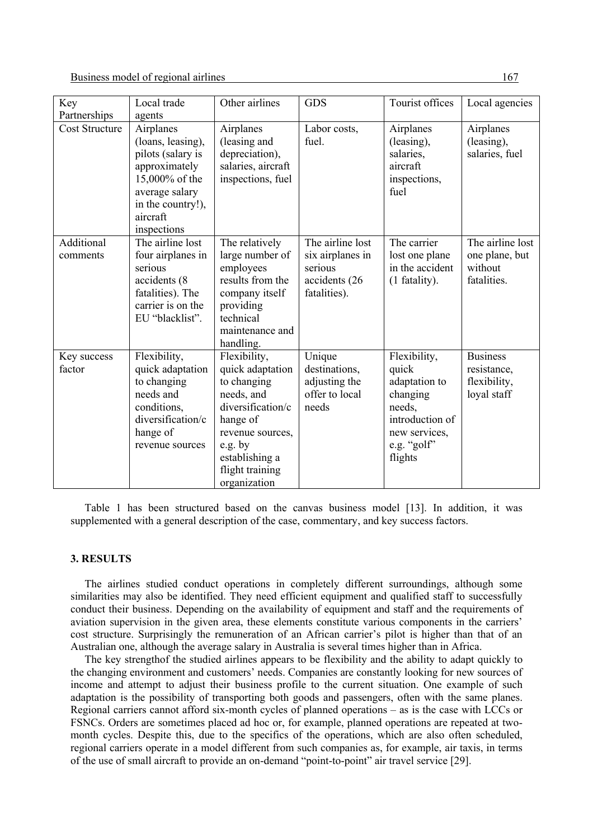Business model of regional airlines 167.

|                       | Local trade                     | Other airlines                       | <b>GDS</b>            | Tourist offices       |                  |
|-----------------------|---------------------------------|--------------------------------------|-----------------------|-----------------------|------------------|
| Key                   |                                 |                                      |                       |                       | Local agencies   |
| Partnerships          | agents                          |                                      |                       |                       |                  |
| <b>Cost Structure</b> | Airplanes                       | Airplanes                            | Labor costs,<br>fuel. | Airplanes             | Airplanes        |
|                       | (loans, leasing),               | (leasing and                         |                       | (leasing),            | (leasing),       |
|                       | pilots (salary is               | depreciation),<br>salaries, aircraft |                       | salaries,<br>aircraft | salaries, fuel   |
|                       | approximately<br>15,000% of the | inspections, fuel                    |                       | inspections,          |                  |
|                       | average salary                  |                                      |                       | fuel                  |                  |
|                       | in the country!),               |                                      |                       |                       |                  |
|                       | aircraft                        |                                      |                       |                       |                  |
|                       | inspections                     |                                      |                       |                       |                  |
| Additional            | The airline lost                | The relatively                       | The airline lost      | The carrier           | The airline lost |
| comments              | four airplanes in               | large number of                      | six airplanes in      | lost one plane        | one plane, but   |
|                       | serious                         | employees                            | serious               | in the accident       | without          |
|                       | accidents (8                    | results from the                     | accidents (26         | (1 fatality).         | fatalities.      |
|                       | fatalities). The                | company itself                       | fatalities).          |                       |                  |
|                       | carrier is on the               | providing                            |                       |                       |                  |
|                       | EU "blacklist".                 | technical                            |                       |                       |                  |
|                       |                                 | maintenance and                      |                       |                       |                  |
|                       |                                 | handling.                            |                       |                       |                  |
| Key success           | Flexibility,                    | Flexibility,                         | Unique                | Flexibility,          | <b>Business</b>  |
| factor                | quick adaptation                | quick adaptation                     | destinations,         | quick                 | resistance,      |
|                       | to changing                     | to changing                          | adjusting the         | adaptation to         | flexibility,     |
|                       | needs and                       | needs, and                           | offer to local        | changing              | loyal staff      |
|                       | conditions,                     | diversification/c                    | needs                 | needs,                |                  |
|                       | diversification/c               | hange of                             |                       | introduction of       |                  |
|                       | hange of                        | revenue sources,                     |                       | new services,         |                  |
|                       | revenue sources                 | e.g. by                              |                       | e.g. "golf"           |                  |
|                       |                                 | establishing a                       |                       | flights               |                  |
|                       |                                 | flight training                      |                       |                       |                  |
|                       |                                 | organization                         |                       |                       |                  |

Table 1 has been structured based on the canvas business model [13]. In addition, it was supplemented with a general description of the case, commentary, and key success factors.

# **3. RESULTS**

The airlines studied conduct operations in completely different surroundings, although some similarities may also be identified. They need efficient equipment and qualified staff to successfully conduct their business. Depending on the availability of equipment and staff and the requirements of aviation supervision in the given area, these elements constitute various components in the carriers' cost structure. Surprisingly the remuneration of an African carrier's pilot is higher than that of an Australian one, although the average salary in Australia is several times higher than in Africa.

The key strengthof the studied airlines appears to be flexibility and the ability to adapt quickly to the changing environment and customers' needs. Companies are constantly looking for new sources of income and attempt to adjust their business profile to the current situation. One example of such adaptation is the possibility of transporting both goods and passengers, often with the same planes. Regional carriers cannot afford six-month cycles of planned operations – as is the case with LCCs or FSNCs. Orders are sometimes placed ad hoc or, for example, planned operations are repeated at twomonth cycles. Despite this, due to the specifics of the operations, which are also often scheduled, regional carriers operate in a model different from such companies as, for example, air taxis, in terms of the use of small aircraft to provide an on-demand "point-to-point" air travel service [29].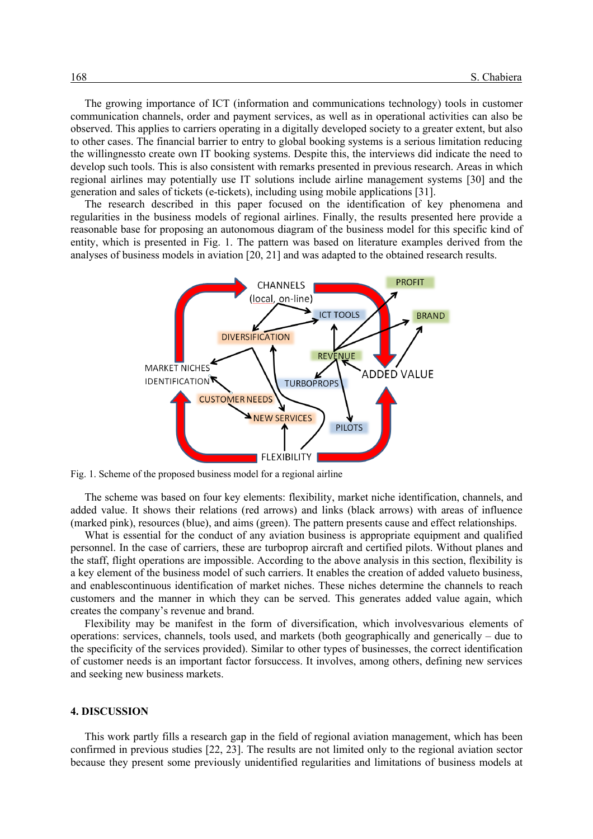The growing importance of ICT (information and communications technology) tools in customer communication channels, order and payment services, as well as in operational activities can also be observed. This applies to carriers operating in a digitally developed society to a greater extent, but also to other cases. The financial barrier to entry to global booking systems is a serious limitation reducing the willingnessto create own IT booking systems. Despite this, the interviews did indicate the need to develop such tools. This is also consistent with remarks presented in previous research. Areas in which regional airlines may potentially use IT solutions include airline management systems [30] and the generation and sales of tickets (e-tickets), including using mobile applications [31].

The research described in this paper focused on the identification of key phenomena and regularities in the business models of regional airlines. Finally, the results presented here provide a reasonable base for proposing an autonomous diagram of the business model for this specific kind of entity, which is presented in Fig. 1. The pattern was based on literature examples derived from the analyses of business models in aviation [20, 21] and was adapted to the obtained research results.



Fig. 1. Scheme of the proposed business model for a regional airline

The scheme was based on four key elements: flexibility, market niche identification, channels, and added value. It shows their relations (red arrows) and links (black arrows) with areas of influence (marked pink), resources (blue), and aims (green). The pattern presents cause and effect relationships.

What is essential for the conduct of any aviation business is appropriate equipment and qualified personnel. In the case of carriers, these are turboprop aircraft and certified pilots. Without planes and the staff, flight operations are impossible. According to the above analysis in this section, flexibility is a key element of the business model of such carriers. It enables the creation of added valueto business, and enablescontinuous identification of market niches. These niches determine the channels to reach customers and the manner in which they can be served. This generates added value again, which creates the company's revenue and brand.

Flexibility may be manifest in the form of diversification, which involvesvarious elements of operations: services, channels, tools used, and markets (both geographically and generically – due to the specificity of the services provided). Similar to other types of businesses, the correct identification of customer needs is an important factor forsuccess. It involves, among others, defining new services and seeking new business markets.

### **4. DISCUSSION**

This work partly fills a research gap in the field of regional aviation management, which has been confirmed in previous studies [22, 23]. The results are not limited only to the regional aviation sector because they present some previously unidentified regularities and limitations of business models at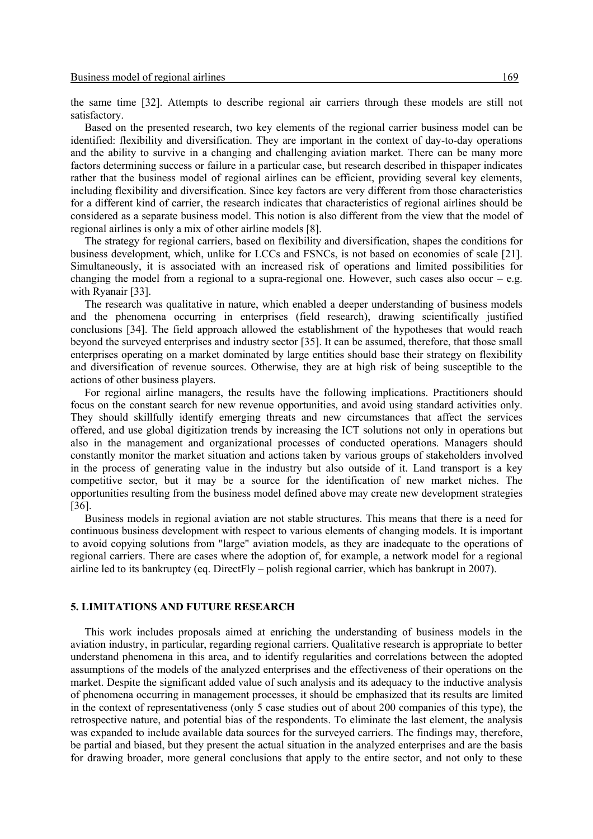the same time [32]. Attempts to describe regional air carriers through these models are still not satisfactory.

Based on the presented research, two key elements of the regional carrier business model can be identified: flexibility and diversification. They are important in the context of day-to-day operations and the ability to survive in a changing and challenging aviation market. There can be many more factors determining success or failure in a particular case, but research described in thispaper indicates rather that the business model of regional airlines can be efficient, providing several key elements, including flexibility and diversification. Since key factors are very different from those characteristics for a different kind of carrier, the research indicates that characteristics of regional airlines should be considered as a separate business model. This notion is also different from the view that the model of regional airlines is only a mix of other airline models [8].

The strategy for regional carriers, based on flexibility and diversification, shapes the conditions for business development, which, unlike for LCCs and FSNCs, is not based on economies of scale [21]. Simultaneously, it is associated with an increased risk of operations and limited possibilities for changing the model from a regional to a supra-regional one. However, such cases also occur – e.g. with Ryanair [33].

The research was qualitative in nature, which enabled a deeper understanding of business models and the phenomena occurring in enterprises (field research), drawing scientifically justified conclusions [34]. The field approach allowed the establishment of the hypotheses that would reach beyond the surveyed enterprises and industry sector [35]. It can be assumed, therefore, that those small enterprises operating on a market dominated by large entities should base their strategy on flexibility and diversification of revenue sources. Otherwise, they are at high risk of being susceptible to the actions of other business players.

For regional airline managers, the results have the following implications. Practitioners should focus on the constant search for new revenue opportunities, and avoid using standard activities only. They should skillfully identify emerging threats and new circumstances that affect the services offered, and use global digitization trends by increasing the ICT solutions not only in operations but also in the management and organizational processes of conducted operations. Managers should constantly monitor the market situation and actions taken by various groups of stakeholders involved in the process of generating value in the industry but also outside of it. Land transport is a key competitive sector, but it may be a source for the identification of new market niches. The opportunities resulting from the business model defined above may create new development strategies [36].

Business models in regional aviation are not stable structures. This means that there is a need for continuous business development with respect to various elements of changing models. It is important to avoid copying solutions from "large" aviation models, as they are inadequate to the operations of regional carriers. There are cases where the adoption of, for example, a network model for a regional airline led to its bankruptcy (eq. DirectFly – polish regional carrier, which has bankrupt in 2007).

# **5. LIMITATIONS AND FUTURE RESEARCH**

This work includes proposals aimed at enriching the understanding of business models in the aviation industry, in particular, regarding regional carriers. Qualitative research is appropriate to better understand phenomena in this area, and to identify regularities and correlations between the adopted assumptions of the models of the analyzed enterprises and the effectiveness of their operations on the market. Despite the significant added value of such analysis and its adequacy to the inductive analysis of phenomena occurring in management processes, it should be emphasized that its results are limited in the context of representativeness (only 5 case studies out of about 200 companies of this type), the retrospective nature, and potential bias of the respondents. To eliminate the last element, the analysis was expanded to include available data sources for the surveyed carriers. The findings may, therefore, be partial and biased, but they present the actual situation in the analyzed enterprises and are the basis for drawing broader, more general conclusions that apply to the entire sector, and not only to these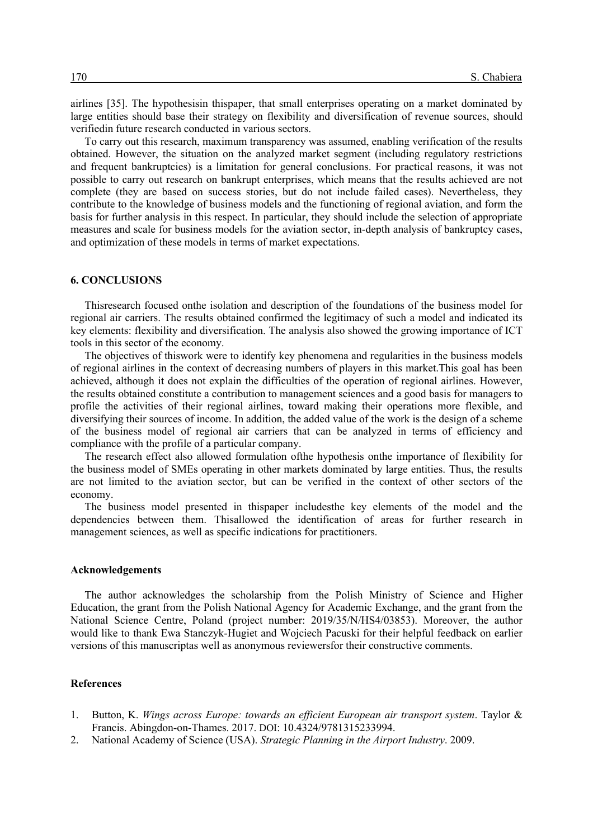airlines [35]. The hypothesisin thispaper, that small enterprises operating on a market dominated by large entities should base their strategy on flexibility and diversification of revenue sources, should verifiedin future research conducted in various sectors.

To carry out this research, maximum transparency was assumed, enabling verification of the results obtained. However, the situation on the analyzed market segment (including regulatory restrictions and frequent bankruptcies) is a limitation for general conclusions. For practical reasons, it was not possible to carry out research on bankrupt enterprises, which means that the results achieved are not complete (they are based on success stories, but do not include failed cases). Nevertheless, they contribute to the knowledge of business models and the functioning of regional aviation, and form the basis for further analysis in this respect. In particular, they should include the selection of appropriate measures and scale for business models for the aviation sector, in-depth analysis of bankruptcy cases, and optimization of these models in terms of market expectations.

# **6. CONCLUSIONS**

Thisresearch focused onthe isolation and description of the foundations of the business model for regional air carriers. The results obtained confirmed the legitimacy of such a model and indicated its key elements: flexibility and diversification. The analysis also showed the growing importance of ICT tools in this sector of the economy.

The objectives of thiswork were to identify key phenomena and regularities in the business models of regional airlines in the context of decreasing numbers of players in this market.This goal has been achieved, although it does not explain the difficulties of the operation of regional airlines. However, the results obtained constitute a contribution to management sciences and a good basis for managers to profile the activities of their regional airlines, toward making their operations more flexible, and diversifying their sources of income. In addition, the added value of the work is the design of a scheme of the business model of regional air carriers that can be analyzed in terms of efficiency and compliance with the profile of a particular company.

The research effect also allowed formulation ofthe hypothesis onthe importance of flexibility for the business model of SMEs operating in other markets dominated by large entities. Thus, the results are not limited to the aviation sector, but can be verified in the context of other sectors of the economy.

The business model presented in thispaper includesthe key elements of the model and the dependencies between them. Thisallowed the identification of areas for further research in management sciences, as well as specific indications for practitioners.

#### **Acknowledgements**

The author acknowledges the scholarship from the Polish Ministry of Science and Higher Education, the grant from the Polish National Agency for Academic Exchange, and the grant from the National Science Centre, Poland (project number: 2019/35/N/HS4/03853). Moreover, the author would like to thank Ewa Stanczyk-Hugiet and Wojciech Pacuski for their helpful feedback on earlier versions of this manuscriptas well as anonymous reviewersfor their constructive comments.

# **References**

- 1. Button, K. *Wings across Europe: towards an efficient European air transport system*. Taylor & Francis. Abingdon-on-Thames. 2017. DOI: 10.4324/9781315233994.
- 2. National Academy of Science (USA). *Strategic Planning in the Airport Industry*. 2009.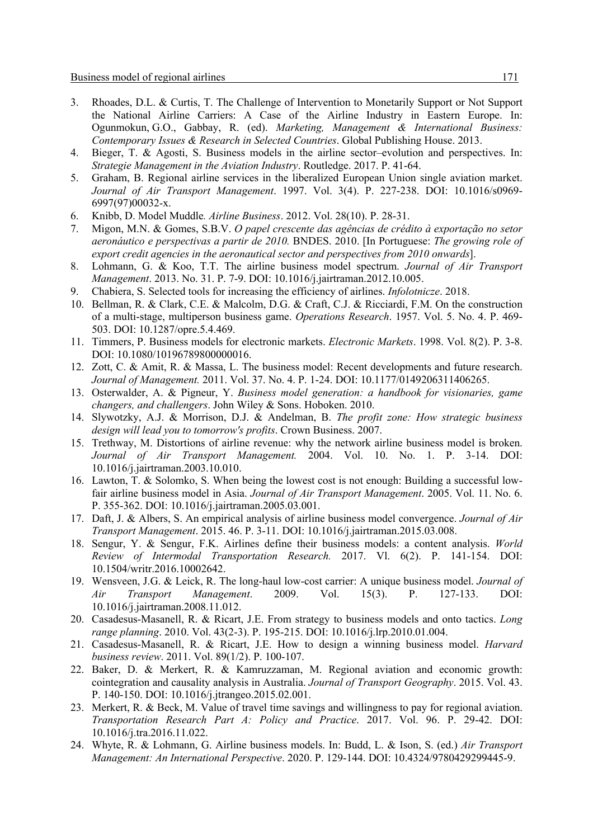- 3. Rhoades, D.L. & Curtis, T. The Challenge of Intervention to Monetarily Support or Not Support the National Airline Carriers: A Case of the Airline Industry in Eastern Europe. In: Ogunmokun, G.O., Gabbay, R. (ed). *Marketing, Management & International Business: Contemporary Issues & Research in Selected Countries*. Global Publishing House. 2013.
- 4. Bieger, T. & Agosti, S. Business models in the airline sector–evolution and perspectives. In: *Strategie Management in the Aviation Industry*. Routledge. 2017. P. 41-64.
- 5. Graham, B. Regional airline services in the liberalized European Union single aviation market. *Journal of Air Transport Management*. 1997. Vol. 3(4). P. 227-238. DOI: 10.1016/s0969- 6997(97)00032-x.
- 6. Knibb, D. Model Muddle*. Airline Business*. 2012. Vol. 28(10). P. 28-31.
- 7. Migon, M.N. & Gomes, S.B.V. *O papel crescente das agências de crédito à exportação no setor aeronáutico e perspectivas a partir de 2010.* BNDES. 2010. [In Portuguese: *The growing role of export credit agencies in the aeronautical sector and perspectives from 2010 onwards*].
- 8. Lohmann, G. & Koo, T.T. The airline business model spectrum. *Journal of Air Transport Management*. 2013. No. 31. P. 7-9. DOI: 10.1016/j.jairtraman.2012.10.005.
- 9. Chabiera, S. Selected tools for increasing the efficiency of airlines. *Infolotnicze*. 2018.
- 10. Bellman, R. & Clark, C.E. & Malcolm, D.G. & Craft, C.J. & Ricciardi, F.M. On the construction of a multi-stage, multiperson business game. *Operations Research*. 1957. Vol. 5. No. 4. P. 469- 503. DOI: 10.1287/opre.5.4.469.
- 11. Timmers, P. Business models for electronic markets. *Electronic Markets*. 1998. Vol. 8(2). P. 3-8. DOI: 10.1080/10196789800000016.
- 12. Zott, C. & Amit, R. & Massa, L. The business model: Recent developments and future research. *Journal of Management.* 2011. Vol. 37. No. 4. P. 1-24. DOI: 10.1177/0149206311406265.
- 13. Osterwalder, A. & Pigneur, Y. *Business model generation: a handbook for visionaries, game changers, and challengers*. John Wiley & Sons. Hoboken. 2010.
- 14. Slywotzky, A.J. & Morrison, D.J. & Andelman, B. *The profit zone: How strategic business design will lead you to tomorrow's profits*. Crown Business. 2007.
- 15. Trethway, M. Distortions of airline revenue: why the network airline business model is broken. *Journal of Air Transport Management.* 2004. Vol. 10. No. 1. P. 3-14. DOI: 10.1016/j.jairtraman.2003.10.010.
- 16. Lawton, T. & Solomko, S. When being the lowest cost is not enough: Building a successful lowfair airline business model in Asia. *Journal of Air Transport Management*. 2005. Vol. 11. No. 6. P. 355-362. DOI: 10.1016/j.jairtraman.2005.03.001.
- 17. Daft, J. & Albers, S. An empirical analysis of airline business model convergence. *Journal of Air Transport Management*. 2015. 46. P. 3-11. DOI: 10.1016/j.jairtraman.2015.03.008.
- 18. Sengur, Y. & Sengur, F.K. Airlines define their business models: a content analysis. *World Review of Intermodal Transportation Research.* 2017. Vl. 6(2). P. 141-154. DOI: 10.1504/writr.2016.10002642.
- 19. Wensveen, J.G. & Leick, R. The long-haul low-cost carrier: A unique business model. *Journal of Air Transport Management*. 2009. Vol. 15(3). P. 127-133. DOI: 10.1016/j.jairtraman.2008.11.012.
- 20. Casadesus-Masanell, R. & Ricart, J.E. From strategy to business models and onto tactics. *Long range planning*. 2010. Vol. 43(2-3). P. 195-215. DOI: 10.1016/j.lrp.2010.01.004.
- 21. Casadesus-Masanell, R. & Ricart, J.E. How to design a winning business model. *Harvard business review*. 2011. Vol. 89(1/2). P. 100-107.
- 22. Baker, D. & Merkert, R. & Kamruzzaman, M. Regional aviation and economic growth: cointegration and causality analysis in Australia. *Journal of Transport Geography*. 2015. Vol. 43. P. 140-150. DOI: 10.1016/j.jtrangeo.2015.02.001.
- 23. Merkert, R. & Beck, M. Value of travel time savings and willingness to pay for regional aviation. *Transportation Research Part A: Policy and Practice*. 2017. Vol. 96. P. 29-42. DOI: 10.1016/j.tra.2016.11.022.
- 24. Whyte, R. & Lohmann, G. Airline business models. In: Budd, L. & Ison, S. (ed.) *Air Transport Management: An International Perspective*. 2020. P. 129-144. DOI: 10.4324/9780429299445-9.